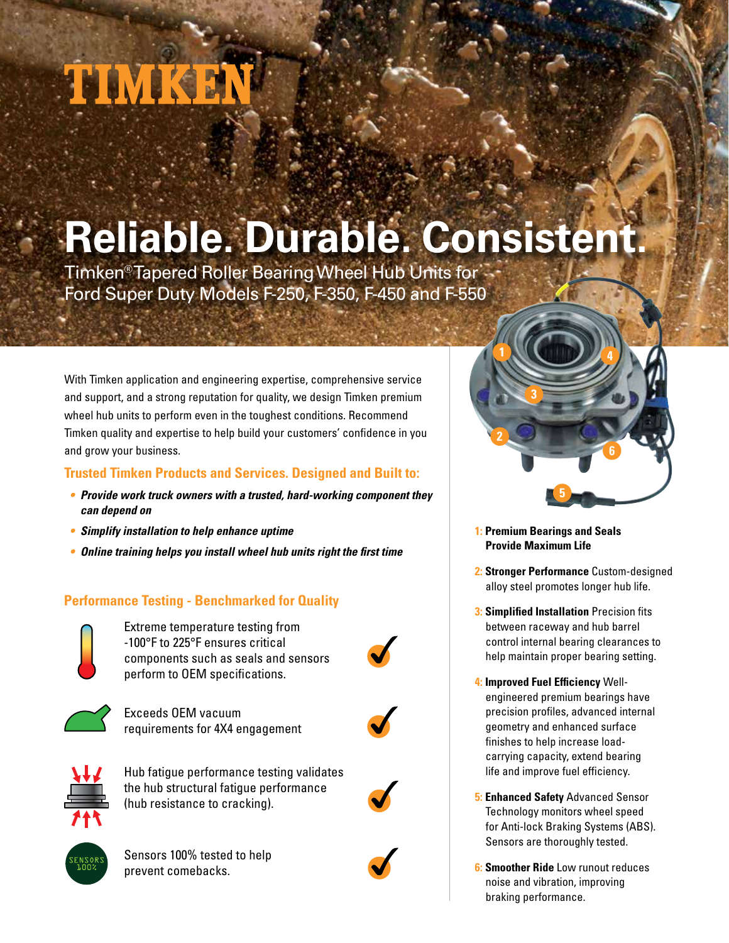# TIMKE

## **Reliable. Durable. Consistent.**

Timken<sup>®</sup> Tapered Roller Bearing Wheel Hub Units for Ford Super Duty Models F-250, F-350, F-450 and F-550

With Timken application and engineering expertise, comprehensive service and support, and a strong reputation for quality, we design Timken premium wheel hub units to perform even in the toughest conditions. Recommend Timken quality and expertise to help build your customers' confidence in you and grow your business.

### **Trusted Timken Products and Services. Designed and Built to:**

- **Provide work truck owners with a trusted, hard-working component they can depend on**
- **Simplify installation to help enhance uptime**
- **Online training helps you install wheel hub units right the first time**

### **Performance Testing - Benchmarked for Quality**



Extreme temperature testing from -100°F to 225°F ensures critical components such as seals and sensors perform to OEM specifications.



Exceeds OEM vacuum requirements for 4X4 engagement



Hub fatigue performance testing validates the hub structural fatigue performance (hub resistance to cracking).



Sensors 100% tested to help prevent comebacks.



- **1: Premium Bearings and Seals Provide Maximum Life**
- **2: Stronger Performance** Custom-designed alloy steel promotes longer hub life.
- **3: Simplified Installation** Precision fits between raceway and hub barrel control internal bearing clearances to help maintain proper bearing setting.
- **4: Improved Fuel Efficiency** Wellengineered premium bearings have precision profiles, advanced internal geometry and enhanced surface finishes to help increase loadcarrying capacity, extend bearing life and improve fuel efficiency.
- **5: Enhanced Safety** Advanced Sensor Technology monitors wheel speed for Anti-lock Braking Systems (ABS). Sensors are thoroughly tested.
- **6: Smoother Ride** Low runout reduces noise and vibration, improving braking performance.